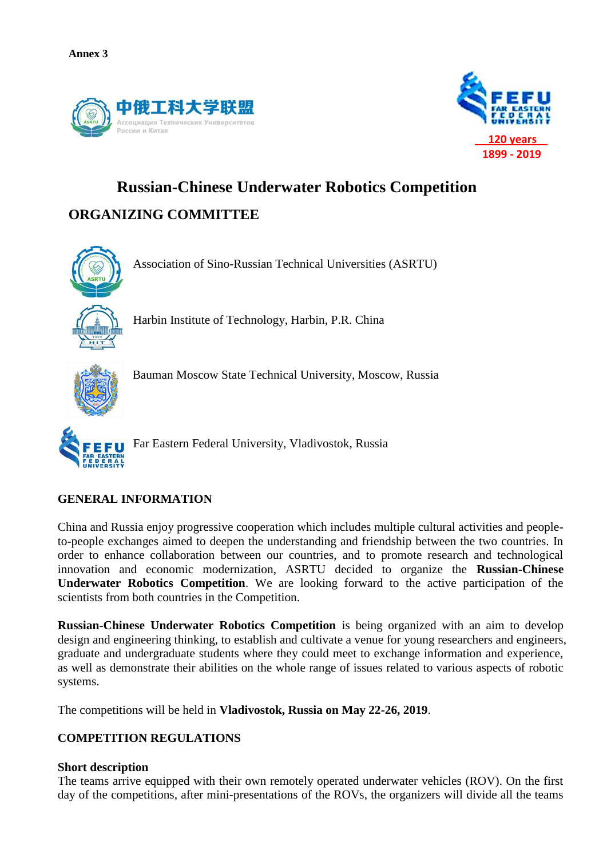



# **Russian-Chinese Underwater Robotics Competition ORGANIZING COMMITTEE**



Association of Sino-Russian Technical Universities (ASRTU)

Harbin Institute of Technology, Harbin, P.R. China



Bauman Moscow State Technical University, Moscow, Russia



Far Eastern Federal University, Vladivostok, Russia

## **GENERAL INFORMATION**

China and Russia enjoy progressive cooperation which includes multiple cultural activities and peopleto-people exchanges aimed to deepen the understanding and friendship between the two countries. In order to enhance collaboration between our countries, and to promote research and technological innovation and economic modernization, ASRTU decided to organize the **Russian-Chinese Underwater Robotics Competition**. We are looking forward to the active participation of the scientists from both countries in the Competition.

**Russian-Chinese Underwater Robotics Competition** is being organized with an aim to develop design and engineering thinking, to establish and cultivate a venue for young researchers and engineers, graduate and undergraduate students where they could meet to exchange information and experience, as well as demonstrate their abilities on the whole range of issues related to various aspects of robotic systems.

The competitions will be held in **Vladivostok, Russia on May 22-26, 2019**.

## **COMPETITION REGULATIONS**

## **Short description**

The teams arrive equipped with their own remotely operated underwater vehicles (ROV). On the first day of the competitions, after mini-presentations of the ROVs, the organizers will divide all the teams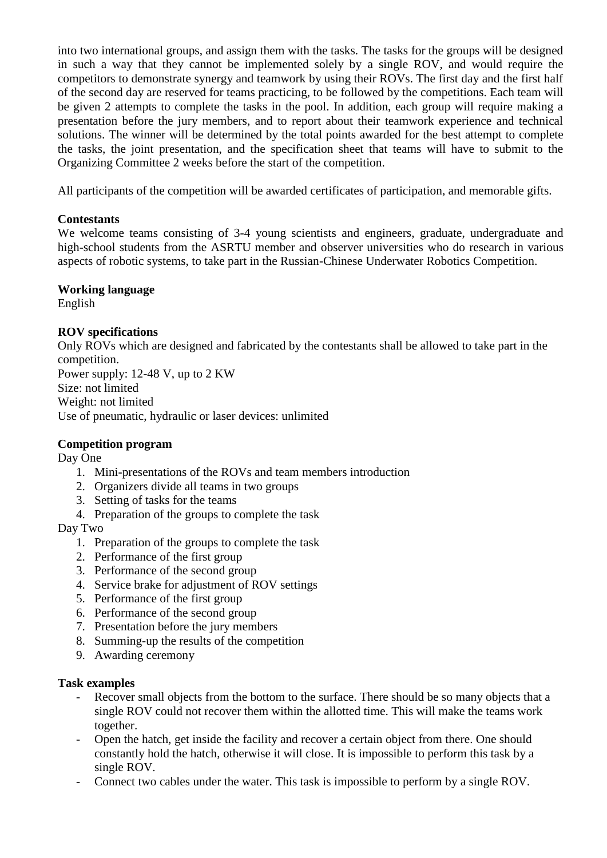into two international groups, and assign them with the tasks. The tasks for the groups will be designed in such a way that they cannot be implemented solely by a single ROV, and would require the competitors to demonstrate synergy and teamwork by using their ROVs. The first day and the first half of the second day are reserved for teams practicing, to be followed by the competitions. Each team will be given 2 attempts to complete the tasks in the pool. In addition, each group will require making a presentation before the jury members, and to report about their teamwork experience and technical solutions. The winner will be determined by the total points awarded for the best attempt to complete the tasks, the joint presentation, and the specification sheet that teams will have to submit to the Organizing Committee 2 weeks before the start of the competition.

All participants of the competition will be awarded certificates of participation, and memorable gifts.

## **Contestants**

We welcome teams consisting of 3-4 young scientists and engineers, graduate, undergraduate and high-school students from the ASRTU member and observer universities who do research in various aspects of robotic systems, to take part in the Russian-Chinese Underwater Robotics Competition.

## **Working language**

English

## **ROV specifications**

Only ROVs which are designed and fabricated by the contestants shall be allowed to take part in the competition.

Power supply: 12-48 V, up to 2 KW Size: not limited Weight: not limited Use of pneumatic, hydraulic or laser devices: unlimited

## **Competition program**

Day One

- 1. Mini-presentations of the ROVs and team members introduction
- 2. Organizers divide all teams in two groups
- 3. Setting of tasks for the teams
- 4. Preparation of the groups to complete the task

## Day Two

- 1. Preparation of the groups to complete the task
- 2. Performance of the first group
- 3. Performance of the second group
- 4. Service brake for adjustment of ROV settings
- 5. Performance of the first group
- 6. Performance of the second group
- 7. Presentation before the jury members
- 8. Summing-up the results of the competition
- 9. Awarding ceremony

## **Task examples**

- Recover small objects from the bottom to the surface. There should be so many objects that a single ROV could not recover them within the allotted time. This will make the teams work together.
- Open the hatch, get inside the facility and recover a certain object from there. One should constantly hold the hatch, otherwise it will close. It is impossible to perform this task by a single ROV.
- Connect two cables under the water. This task is impossible to perform by a single ROV.